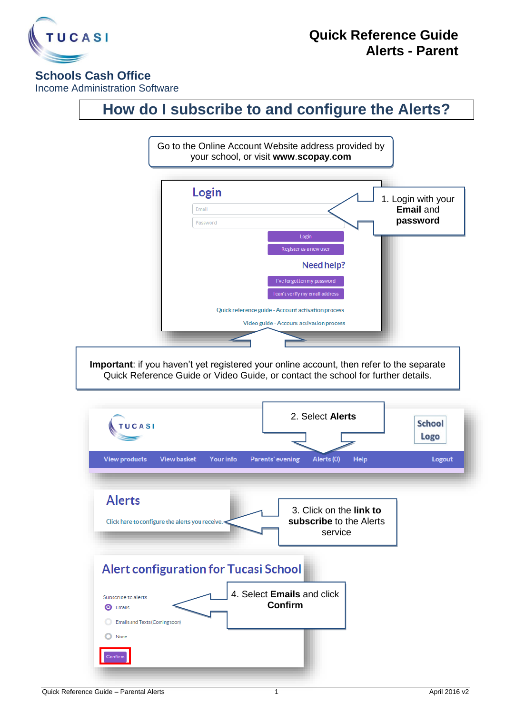

## **Schools Cash Office**

Income Administration Software

## **How do I subscribe to and configure the Alerts?**



**Important**: if you haven't yet registered your online account, then refer to the separate Quick Reference Guide or Video Guide, or contact the school for further details.

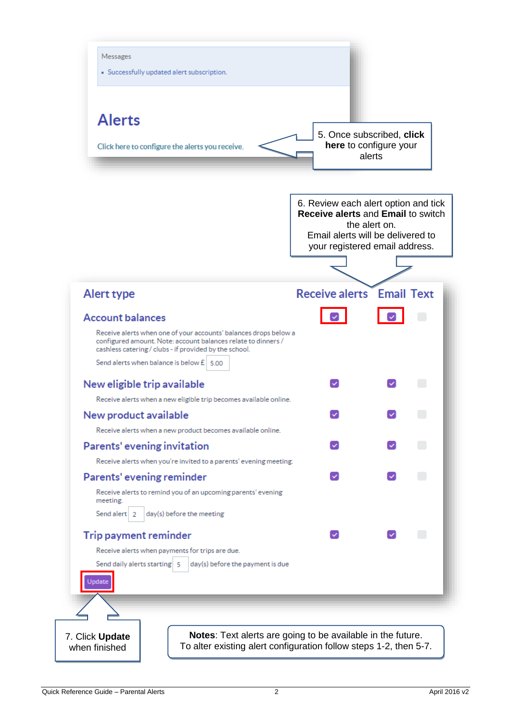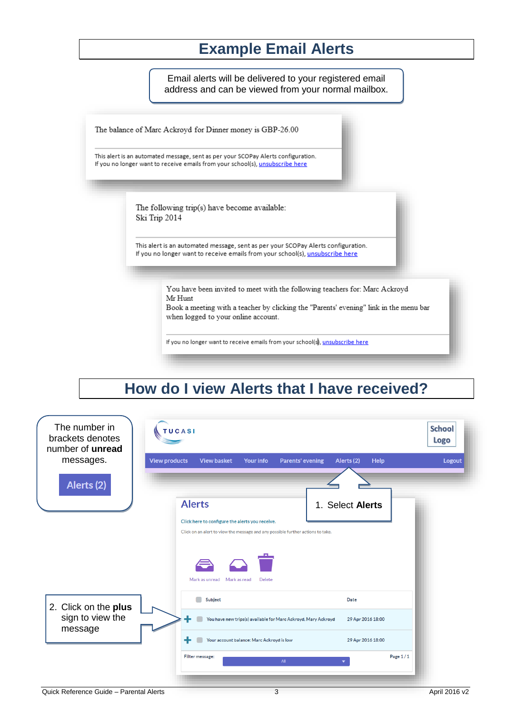## **Example Email Alerts**

Email alerts will be delivered to your registered email address and can be viewed from your normal mailbox.

The balance of Marc Ackroyd for Dinner money is GBP-26.00

This alert is an automated message, sent as per your SCOPay Alerts configuration. If you no longer want to receive emails from your school(s), unsubscribe here

> The following trip(s) have become available: Ski Trip 2014

This alert is an automated message, sent as per your SCOPay Alerts configuration. If you no longer want to receive emails from your school(s), unsubscribe here

> You have been invited to meet with the following teachers for: Marc Ackroyd Mr Hunt

Book a meeting with a teacher by clicking the "Parents' evening" link in the menu bar when logged to your online account.

If you no longer want to receive emails from your school(s), unsubscribe here

## **How do I view Alerts that I have received?**

| The number in<br>brackets denotes<br>number of unread<br>messages. | TUCASI                                                                                                                 | <b>School</b><br>Logo |
|--------------------------------------------------------------------|------------------------------------------------------------------------------------------------------------------------|-----------------------|
|                                                                    | <b>View products</b><br><b>View basket</b><br><b>Your info</b><br><b>Parents' evening</b><br>Alerts (2)<br><b>Help</b> | Logout                |
| Alerts (2)                                                         |                                                                                                                        |                       |
|                                                                    | <b>Alerts</b><br>1. Select Alerts                                                                                      |                       |
|                                                                    | Click here to configure the alerts you receive.                                                                        |                       |
|                                                                    | Click on an alert to view the message and any possible further actions to take.                                        |                       |
|                                                                    | Mark as unread<br>Mark as read<br>Delete                                                                               |                       |
| 2. Click on the plus<br>sign to view the<br>message                | Subject<br>Date                                                                                                        |                       |
|                                                                    | You have new trips(s) available for Marc Ackroyd, Mary Ackroyd<br>29 Apr 2016 18:00                                    |                       |
|                                                                    | Your account balance: Marc Ackroyd is low<br>29 Apr 2016 18:00                                                         |                       |
|                                                                    | Filter message:<br>All                                                                                                 | Page 1/1              |
| Quick Reference Guide - Parental Alerts                            | 3                                                                                                                      | April 2016 v2         |